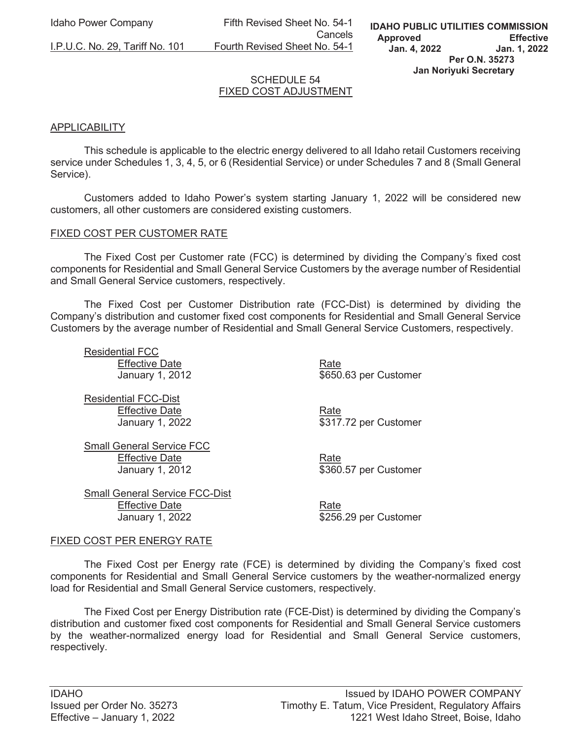Idaho Power Company Fifth Revised Sheet No. 54-1 **Cancels Cancels** I.P.U.C. No. 29, Tariff No. 101 Fourth Revised Sheet No. 54-1

## SCHEDULE 54 FIXED COST ADJUSTMENT

## **APPLICABILITY**

 This schedule is applicable to the electric energy delivered to all Idaho retail Customers receiving service under Schedules 1, 3, 4, 5, or 6 (Residential Service) or under Schedules 7 and 8 (Small General Service).

 Customers added to Idaho Power's system starting January 1, 2022 will be considered new customers, all other customers are considered existing customers.

### FIXED COST PER CUSTOMER RATE

 The Fixed Cost per Customer rate (FCC) is determined by dividing the Company's fixed cost components for Residential and Small General Service Customers by the average number of Residential and Small General Service customers, respectively.

 The Fixed Cost per Customer Distribution rate (FCC-Dist) is determined by dividing the Company's distribution and customer fixed cost components for Residential and Small General Service Customers by the average number of Residential and Small General Service Customers, respectively.

 Residential FCC Effective Date **Rate** Rate January 1, 2012 **\$650.63** per Customer

 Residential FCC-Dist Effective Date **Rate** Rate

January 1, 2022 **\$317.72 per Customer** 

 Small General Service FCC Effective Date **Rate** Rate

 Small General Service FCC-Dist Effective Date **Rate** Rate January 1, 2022 **\$256.29 per Customer** 

January 1, 2012 **\$360.57** per Customer

#### FIXED COST PER ENERGY RATE

 The Fixed Cost per Energy rate (FCE) is determined by dividing the Company's fixed cost components for Residential and Small General Service customers by the weather-normalized energy load for Residential and Small General Service customers, respectively.

 The Fixed Cost per Energy Distribution rate (FCE-Dist) is determined by dividing the Company's distribution and customer fixed cost components for Residential and Small General Service customers by the weather-normalized energy load for Residential and Small General Service customers, respectively.